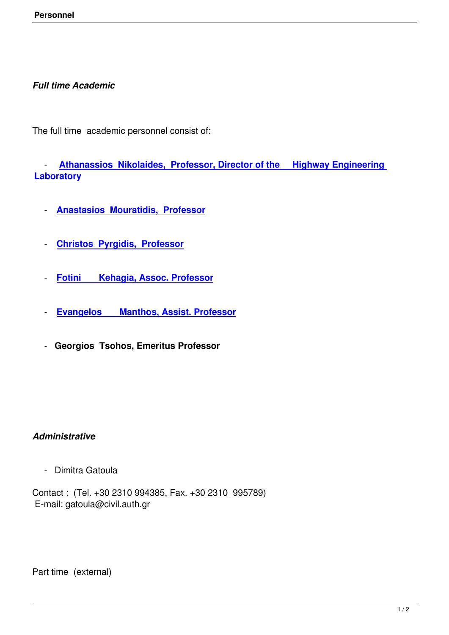## *Full time Academic*

The full time academic personnel consist of:

 - **Athanassios Nikolaides, Professor, Director of the Highway Engineering Laboratory**

- **[Anastasios Mouratidis, Professor](http://www.civil.auth.gr/en/personel-en/dep-en/175-anik.html)**
- **[Christos Pyrgidis, Professor](http://www.civil.auth.gr/en/personel-en/dep-en/259-anmourat.html)**
- **[Fotini Kehagia, Assoc. Pro](http://www.civil.auth.gr/en/personel-en/dep-en/188-pyrgidis.html)fessor**
- **[Evangelos Manthos, Assist. Profe](http://www.civil.auth.gr/en/personel-en/dep-en/152-fkehagia.html)ssor**
- **[Georgios Tsohos, Emeritus Professor](http://www.civil.auth.gr/en/personel-en/dep-en/166-emanthos.html)**

## *Administrative*

- Dimitra Gatoula

Contact : (Tel. +30 2310 994385, Fax. +30 2310 995789) E-mail: gatoula@civil.auth.gr

Part time (external)